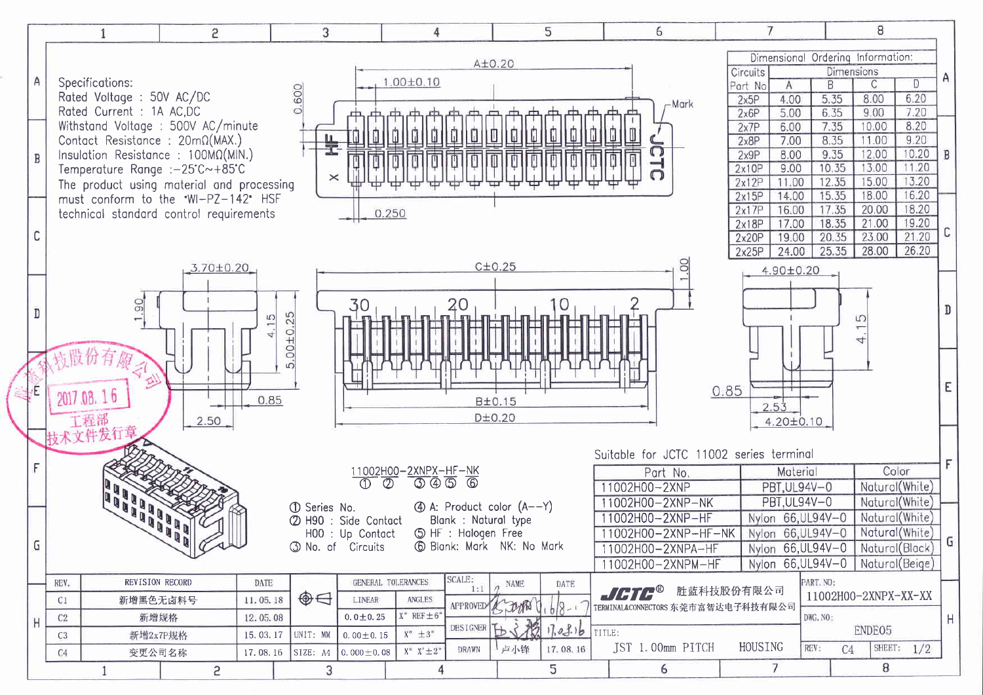